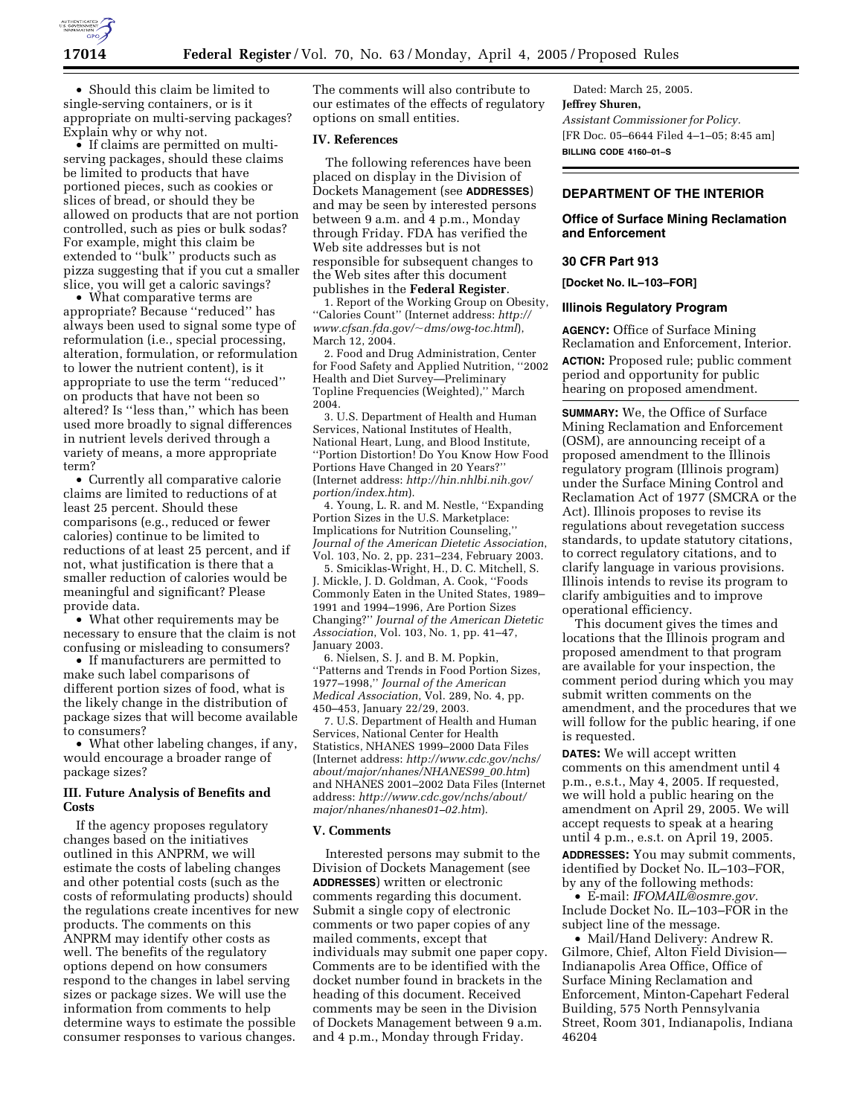

• Should this claim be limited to single-serving containers, or is it appropriate on multi-serving packages? Explain why or why not.

• If claims are permitted on multiserving packages, should these claims be limited to products that have portioned pieces, such as cookies or slices of bread, or should they be allowed on products that are not portion controlled, such as pies or bulk sodas? For example, might this claim be extended to ''bulk'' products such as pizza suggesting that if you cut a smaller slice, you will get a caloric savings?

• What comparative terms are appropriate? Because ''reduced'' has always been used to signal some type of reformulation (i.e., special processing, alteration, formulation, or reformulation to lower the nutrient content), is it appropriate to use the term ''reduced'' on products that have not been so altered? Is ''less than,'' which has been used more broadly to signal differences in nutrient levels derived through a variety of means, a more appropriate term?

• Currently all comparative calorie claims are limited to reductions of at least 25 percent. Should these comparisons (e.g., reduced or fewer calories) continue to be limited to reductions of at least 25 percent, and if not, what justification is there that a smaller reduction of calories would be meaningful and significant? Please provide data.

• What other requirements may be necessary to ensure that the claim is not confusing or misleading to consumers?

• If manufacturers are permitted to make such label comparisons of different portion sizes of food, what is the likely change in the distribution of package sizes that will become available to consumers?

• What other labeling changes, if any, would encourage a broader range of package sizes?

### **III. Future Analysis of Benefits and Costs**

If the agency proposes regulatory changes based on the initiatives outlined in this ANPRM, we will estimate the costs of labeling changes and other potential costs (such as the costs of reformulating products) should the regulations create incentives for new products. The comments on this ANPRM may identify other costs as well. The benefits of the regulatory options depend on how consumers respond to the changes in label serving sizes or package sizes. We will use the information from comments to help determine ways to estimate the possible consumer responses to various changes.

The comments will also contribute to our estimates of the effects of regulatory options on small entities.

### **IV. References**

The following references have been placed on display in the Division of Dockets Management (see **ADDRESSES**) and may be seen by interested persons between 9 a.m. and 4 p.m., Monday through Friday. FDA has verified the Web site addresses but is not responsible for subsequent changes to the Web sites after this document publishes in the **Federal Register**.

1. Report of the Working Group on Obesity, ''Calories Count'' (Internet address: *http:// www.cfsan.fda.gov/*~*dms/owg-toc.html*), March 12, 2004.

2. Food and Drug Administration, Center for Food Safety and Applied Nutrition, ''2002 Health and Diet Survey—Preliminary Topline Frequencies (Weighted),'' March 2004.

3. U.S. Department of Health and Human Services, National Institutes of Health, National Heart, Lung, and Blood Institute, ''Portion Distortion! Do You Know How Food Portions Have Changed in 20 Years?'' (Internet address: *http://hin.nhlbi.nih.gov/ portion/index.htm*).

4. Young, L. R. and M. Nestle, ''Expanding Portion Sizes in the U.S. Marketplace: Implications for Nutrition Counseling,'' *Journal of the American Dietetic Association*, Vol. 103, No. 2, pp. 231–234, February 2003.

5. Smiciklas-Wright, H., D. C. Mitchell, S. J. Mickle, J. D. Goldman, A. Cook, ''Foods Commonly Eaten in the United States, 1989– 1991 and 1994–1996, Are Portion Sizes Changing?'' *Journal of the American Dietetic Association*, Vol. 103, No. 1, pp. 41–47, January 2003.

6. Nielsen, S. J. and B. M. Popkin, ''Patterns and Trends in Food Portion Sizes, 1977–1998,'' *Journal of the American Medical Association*, Vol. 289, No. 4, pp. 450–453, January 22/29, 2003.

7. U.S. Department of Health and Human Services, National Center for Health Statistics, NHANES 1999–2000 Data Files (Internet address: *http://www.cdc.gov/nchs/ about/major/nhanes/NHANES99*\_*00.htm*) and NHANES 2001–2002 Data Files (Internet address: *http://www.cdc.gov/nchs/about/ major/nhanes/nhanes01–02.htm*).

#### **V. Comments**

Interested persons may submit to the Division of Dockets Management (see **ADDRESSES**) written or electronic comments regarding this document. Submit a single copy of electronic comments or two paper copies of any mailed comments, except that individuals may submit one paper copy. Comments are to be identified with the docket number found in brackets in the heading of this document. Received comments may be seen in the Division of Dockets Management between 9 a.m. and 4 p.m., Monday through Friday.

Dated: March 25, 2005. **Jeffrey Shuren,** *Assistant Commissioner for Policy.* [FR Doc. 05–6644 Filed 4–1–05; 8:45 am] **BILLING CODE 4160–01–S**

# **DEPARTMENT OF THE INTERIOR**

**Office of Surface Mining Reclamation and Enforcement** 

### **30 CFR Part 913**

**[Docket No. IL–103–FOR]** 

### **Illinois Regulatory Program**

**AGENCY:** Office of Surface Mining Reclamation and Enforcement, Interior. **ACTION:** Proposed rule; public comment period and opportunity for public hearing on proposed amendment.

**SUMMARY:** We, the Office of Surface Mining Reclamation and Enforcement (OSM), are announcing receipt of a proposed amendment to the Illinois regulatory program (Illinois program) under the Surface Mining Control and Reclamation Act of 1977 (SMCRA or the Act). Illinois proposes to revise its regulations about revegetation success standards, to update statutory citations, to correct regulatory citations, and to clarify language in various provisions. Illinois intends to revise its program to clarify ambiguities and to improve operational efficiency.

This document gives the times and locations that the Illinois program and proposed amendment to that program are available for your inspection, the comment period during which you may submit written comments on the amendment, and the procedures that we will follow for the public hearing, if one is requested.

**DATES:** We will accept written comments on this amendment until 4 p.m., e.s.t., May 4, 2005. If requested, we will hold a public hearing on the amendment on April 29, 2005. We will accept requests to speak at a hearing until 4 p.m., e.s.t. on April 19, 2005. **ADDRESSES:** You may submit comments, identified by Docket No. IL–103–FOR, by any of the following methods:

• E-mail: *IFOMAIL@osmre.gov.* Include Docket No. IL–103–FOR in the subject line of the message.

• Mail/Hand Delivery: Andrew R. Gilmore, Chief, Alton Field Division— Indianapolis Area Office, Office of Surface Mining Reclamation and Enforcement, Minton-Capehart Federal Building, 575 North Pennsylvania Street, Room 301, Indianapolis, Indiana 46204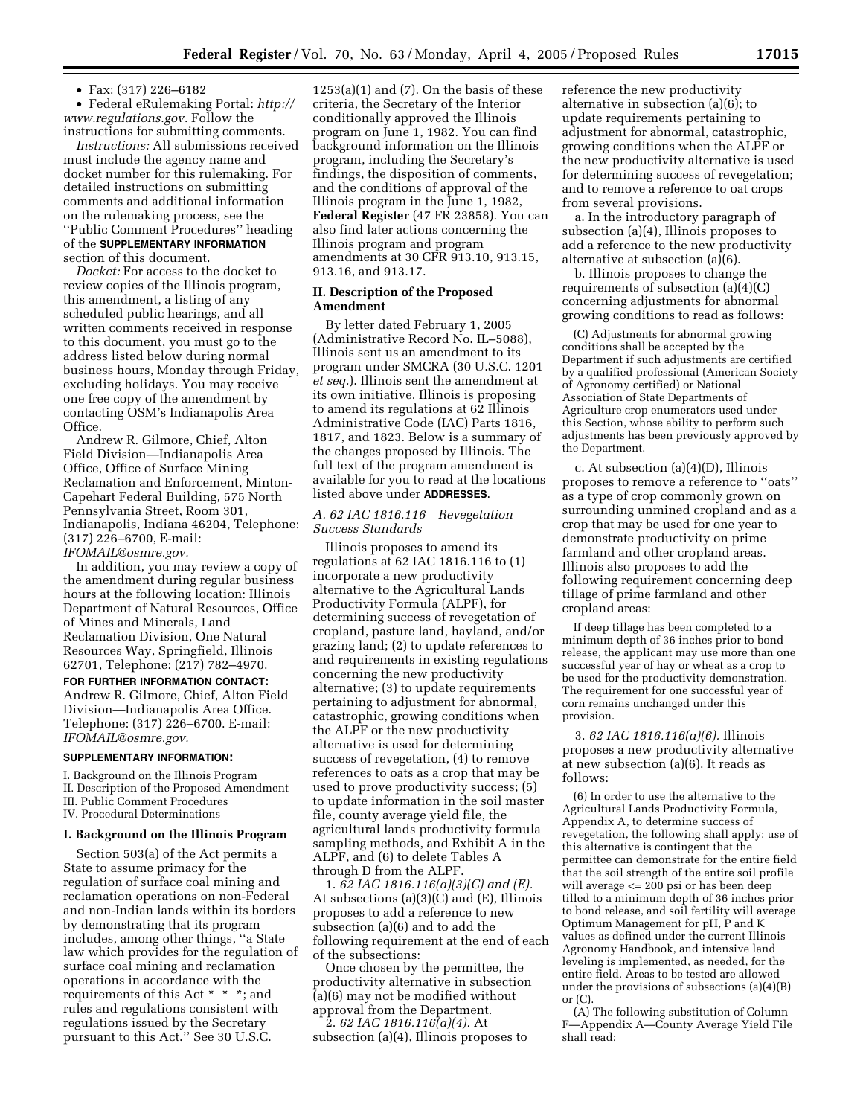• Fax: (317) 226–6182

• Federal eRulemaking Portal: *http:// www.regulations.gov.* Follow the instructions for submitting comments.

*Instructions:* All submissions received must include the agency name and docket number for this rulemaking. For detailed instructions on submitting comments and additional information on the rulemaking process, see the ''Public Comment Procedures'' heading of the **SUPPLEMENTARY INFORMATION** section of this document.

*Docket:* For access to the docket to review copies of the Illinois program, this amendment, a listing of any scheduled public hearings, and all written comments received in response to this document, you must go to the address listed below during normal business hours, Monday through Friday, excluding holidays. You may receive one free copy of the amendment by contacting OSM's Indianapolis Area Office.

Andrew R. Gilmore, Chief, Alton Field Division—Indianapolis Area Office, Office of Surface Mining Reclamation and Enforcement, Minton-Capehart Federal Building, 575 North Pennsylvania Street, Room 301, Indianapolis, Indiana 46204, Telephone: (317) 226–6700, E-mail: *IFOMAIL@osmre.gov.*

In addition, you may review a copy of the amendment during regular business hours at the following location: Illinois Department of Natural Resources, Office of Mines and Minerals, Land Reclamation Division, One Natural Resources Way, Springfield, Illinois 62701, Telephone: (217) 782–4970.

**FOR FURTHER INFORMATION CONTACT:** Andrew R. Gilmore, Chief, Alton Field Division—Indianapolis Area Office. Telephone: (317) 226–6700. E-mail: *IFOMAIL@osmre.gov.*

#### **SUPPLEMENTARY INFORMATION:**

I. Background on the Illinois Program II. Description of the Proposed Amendment III. Public Comment Procedures

IV. Procedural Determinations

#### **I. Background on the Illinois Program**

Section 503(a) of the Act permits a State to assume primacy for the regulation of surface coal mining and reclamation operations on non-Federal and non-Indian lands within its borders by demonstrating that its program includes, among other things, ''a State law which provides for the regulation of surface coal mining and reclamation operations in accordance with the requirements of this Act \* \* \*; and rules and regulations consistent with regulations issued by the Secretary pursuant to this Act.'' See 30 U.S.C.

 $1253(a)(1)$  and  $(7)$ . On the basis of these criteria, the Secretary of the Interior conditionally approved the Illinois program on June 1, 1982. You can find background information on the Illinois program, including the Secretary's findings, the disposition of comments, and the conditions of approval of the Illinois program in the June 1, 1982, **Federal Register** (47 FR 23858). You can also find later actions concerning the Illinois program and program amendments at 30 CFR 913.10, 913.15, 913.16, and 913.17.

### **II. Description of the Proposed Amendment**

By letter dated February 1, 2005 (Administrative Record No. IL–5088), Illinois sent us an amendment to its program under SMCRA (30 U.S.C. 1201 *et seq.*). Illinois sent the amendment at its own initiative. Illinois is proposing to amend its regulations at 62 Illinois Administrative Code (IAC) Parts 1816, 1817, and 1823. Below is a summary of the changes proposed by Illinois. The full text of the program amendment is available for you to read at the locations listed above under **ADDRESSES**.

# *A. 62 IAC 1816.116 Revegetation Success Standards*

Illinois proposes to amend its regulations at 62 IAC 1816.116 to (1) incorporate a new productivity alternative to the Agricultural Lands Productivity Formula (ALPF), for determining success of revegetation of cropland, pasture land, hayland, and/or grazing land; (2) to update references to and requirements in existing regulations concerning the new productivity alternative; (3) to update requirements pertaining to adjustment for abnormal, catastrophic, growing conditions when the ALPF or the new productivity alternative is used for determining success of revegetation, (4) to remove references to oats as a crop that may be used to prove productivity success; (5) to update information in the soil master file, county average yield file, the agricultural lands productivity formula sampling methods, and Exhibit A in the ALPF, and (6) to delete Tables A through D from the ALPF.

1. *62 IAC 1816.116(a)(3)(C) and (E).* At subsections (a)(3)(C) and (E), Illinois proposes to add a reference to new subsection (a)(6) and to add the following requirement at the end of each of the subsections:

Once chosen by the permittee, the productivity alternative in subsection (a)(6) may not be modified without approval from the Department.

2. *62 IAC 1816.116(a)(4).* At subsection (a)(4), Illinois proposes to reference the new productivity alternative in subsection (a)(6); to update requirements pertaining to adjustment for abnormal, catastrophic, growing conditions when the ALPF or the new productivity alternative is used for determining success of revegetation; and to remove a reference to oat crops from several provisions.

a. In the introductory paragraph of subsection (a)(4), Illinois proposes to add a reference to the new productivity alternative at subsection (a)(6).

b. Illinois proposes to change the requirements of subsection (a)(4)(C) concerning adjustments for abnormal growing conditions to read as follows:

(C) Adjustments for abnormal growing conditions shall be accepted by the Department if such adjustments are certified by a qualified professional (American Society of Agronomy certified) or National Association of State Departments of Agriculture crop enumerators used under this Section, whose ability to perform such adjustments has been previously approved by the Department.

c. At subsection (a)(4)(D), Illinois proposes to remove a reference to ''oats'' as a type of crop commonly grown on surrounding unmined cropland and as a crop that may be used for one year to demonstrate productivity on prime farmland and other cropland areas. Illinois also proposes to add the following requirement concerning deep tillage of prime farmland and other cropland areas:

If deep tillage has been completed to a minimum depth of 36 inches prior to bond release, the applicant may use more than one successful year of hay or wheat as a crop to be used for the productivity demonstration. The requirement for one successful year of corn remains unchanged under this provision.

3. *62 IAC 1816.116(a)(6).* Illinois proposes a new productivity alternative at new subsection (a)(6). It reads as follows:

(6) In order to use the alternative to the Agricultural Lands Productivity Formula, Appendix A, to determine success of revegetation, the following shall apply: use of this alternative is contingent that the permittee can demonstrate for the entire field that the soil strength of the entire soil profile will average  $\leq$  200 psi or has been deep tilled to a minimum depth of 36 inches prior to bond release, and soil fertility will average Optimum Management for pH, P and K values as defined under the current Illinois Agronomy Handbook, and intensive land leveling is implemented, as needed, for the entire field. Areas to be tested are allowed under the provisions of subsections (a)(4)(B) or (C).

(A) The following substitution of Column F—Appendix A—County Average Yield File shall read: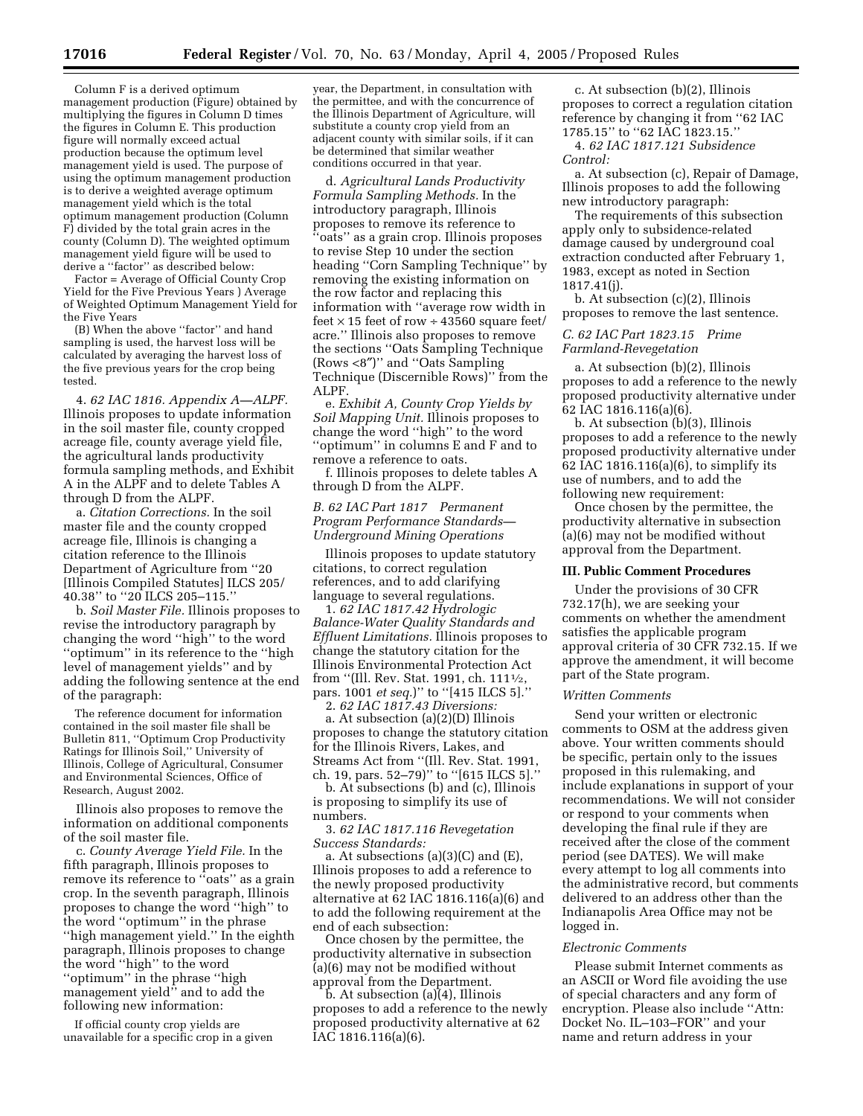Column F is a derived optimum management production (Figure) obtained by multiplying the figures in Column D times the figures in Column E. This production figure will normally exceed actual production because the optimum level management yield is used. The purpose of using the optimum management production is to derive a weighted average optimum management yield which is the total optimum management production (Column F) divided by the total grain acres in the county (Column D). The weighted optimum management yield figure will be used to derive a ''factor'' as described below:

Factor = Average of Official County Crop Yield for the Five Previous Years ) Average of Weighted Optimum Management Yield for the Five Years

(B) When the above ''factor'' and hand sampling is used, the harvest loss will be calculated by averaging the harvest loss of the five previous years for the crop being tested.

4. *62 IAC 1816. Appendix A—ALPF.* Illinois proposes to update information in the soil master file, county cropped acreage file, county average yield file, the agricultural lands productivity formula sampling methods, and Exhibit A in the ALPF and to delete Tables A through D from the ALPF.

a. *Citation Corrections.* In the soil master file and the county cropped acreage file, Illinois is changing a citation reference to the Illinois Department of Agriculture from ''20 [Illinois Compiled Statutes] ILCS 205/ 40.38'' to ''20 ILCS 205–115.''

b. *Soil Master File.* Illinois proposes to revise the introductory paragraph by changing the word ''high'' to the word ''optimum'' in its reference to the ''high level of management yields'' and by adding the following sentence at the end of the paragraph:

The reference document for information contained in the soil master file shall be Bulletin 811, ''Optimum Crop Productivity Ratings for Illinois Soil,'' University of Illinois, College of Agricultural, Consumer and Environmental Sciences, Office of Research, August 2002.

Illinois also proposes to remove the information on additional components of the soil master file.

c. *County Average Yield File.* In the fifth paragraph, Illinois proposes to remove its reference to ''oats'' as a grain crop. In the seventh paragraph, Illinois proposes to change the word ''high'' to the word ''optimum'' in the phrase ''high management yield.'' In the eighth paragraph, Illinois proposes to change the word ''high'' to the word ''optimum'' in the phrase ''high management yield'' and to add the following new information:

If official county crop yields are unavailable for a specific crop in a given

year, the Department, in consultation with the permittee, and with the concurrence of the Illinois Department of Agriculture, will substitute a county crop yield from an adjacent county with similar soils, if it can be determined that similar weather conditions occurred in that year.

d. *Agricultural Lands Productivity Formula Sampling Methods.* In the introductory paragraph, Illinois proposes to remove its reference to ''oats'' as a grain crop. Illinois proposes to revise Step 10 under the section heading ''Corn Sampling Technique'' by removing the existing information on the row factor and replacing this information with ''average row width in feet  $\times$  15 feet of row  $\div$  43560 square feet/ acre.'' Illinois also proposes to remove the sections ''Oats Sampling Technique (Rows <8″)'' and ''Oats Sampling Technique (Discernible Rows)'' from the ALPF.

e. *Exhibit A, County Crop Yields by Soil Mapping Unit.* Illinois proposes to change the word ''high'' to the word ''optimum'' in columns E and F and to remove a reference to oats.

f. Illinois proposes to delete tables A through D from the ALPF.

### *B. 62 IAC Part 1817 Permanent Program Performance Standards— Underground Mining Operations*

Illinois proposes to update statutory citations, to correct regulation references, and to add clarifying language to several regulations.

1. *62 IAC 1817.42 Hydrologic Balance-Water Quality Standards and Effluent Limitations.* Illinois proposes to change the statutory citation for the Illinois Environmental Protection Act from ''(Ill. Rev. Stat. 1991, ch. 1111⁄2, pars. 1001 *et seq.*)'' to ''[415 ILCS 5].''

2. *62 IAC 1817.43 Diversions:* a. At subsection (a)(2)(D) Illinois

proposes to change the statutory citation for the Illinois Rivers, Lakes, and Streams Act from ''(Ill. Rev. Stat. 1991, ch. 19, pars. 52–79)'' to ''[615 ILCS 5].''

b. At subsections (b) and (c), Illinois is proposing to simplify its use of numbers.

3. *62 IAC 1817.116 Revegetation Success Standards:*

a. At subsections (a)(3)(C) and (E), Illinois proposes to add a reference to the newly proposed productivity alternative at 62 IAC 1816.116(a)(6) and to add the following requirement at the end of each subsection:

Once chosen by the permittee, the productivity alternative in subsection (a)(6) may not be modified without approval from the Department.

b. At subsection (a)(4), Illinois proposes to add a reference to the newly proposed productivity alternative at 62 IAC 1816.116(a)(6).

c. At subsection (b)(2), Illinois proposes to correct a regulation citation reference by changing it from ''62 IAC 1785.15'' to ''62 IAC 1823.15.''

4. *62 IAC 1817.121 Subsidence Control:*

a. At subsection (c), Repair of Damage, Illinois proposes to add the following new introductory paragraph:

The requirements of this subsection apply only to subsidence-related damage caused by underground coal extraction conducted after February 1, 1983, except as noted in Section 1817.41(j).

b. At subsection (c)(2), Illinois proposes to remove the last sentence.

## *C. 62 IAC Part 1823.15 Prime Farmland-Revegetation*

a. At subsection (b)(2), Illinois proposes to add a reference to the newly proposed productivity alternative under 62 IAC 1816.116(a)(6).

b. At subsection (b)(3), Illinois proposes to add a reference to the newly proposed productivity alternative under 62 IAC 1816.116(a)(6), to simplify its use of numbers, and to add the following new requirement:

Once chosen by the permittee, the productivity alternative in subsection (a)(6) may not be modified without approval from the Department.

### **III. Public Comment Procedures**

Under the provisions of 30 CFR 732.17(h), we are seeking your comments on whether the amendment satisfies the applicable program approval criteria of 30 CFR 732.15. If we approve the amendment, it will become part of the State program.

#### *Written Comments*

Send your written or electronic comments to OSM at the address given above. Your written comments should be specific, pertain only to the issues proposed in this rulemaking, and include explanations in support of your recommendations. We will not consider or respond to your comments when developing the final rule if they are received after the close of the comment period (see DATES). We will make every attempt to log all comments into the administrative record, but comments delivered to an address other than the Indianapolis Area Office may not be logged in.

### *Electronic Comments*

Please submit Internet comments as an ASCII or Word file avoiding the use of special characters and any form of encryption. Please also include ''Attn: Docket No. IL–103–FOR'' and your name and return address in your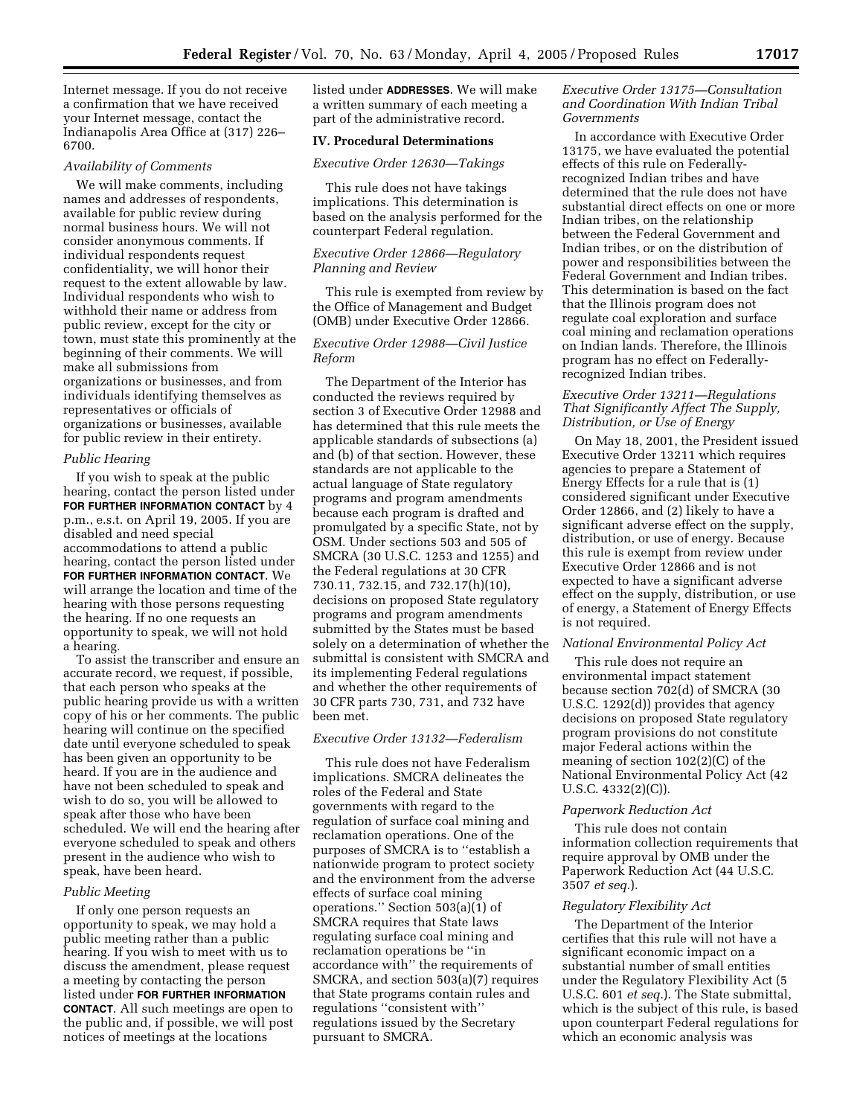Internet message. If you do not receive a confirmation that we have received your Internet message, contact the Indianapolis Area Office at (317) 226– 6700.

### *Availability of Comments*

We will make comments, including names and addresses of respondents, available for public review during normal business hours. We will not consider anonymous comments. If individual respondents request confidentiality, we will honor their request to the extent allowable by law. Individual respondents who wish to withhold their name or address from public review, except for the city or town, must state this prominently at the beginning of their comments. We will make all submissions from organizations or businesses, and from individuals identifying themselves as representatives or officials of organizations or businesses, available for public review in their entirety.

#### *Public Hearing*

If you wish to speak at the public hearing, contact the person listed under **FOR FURTHER INFORMATION CONTACT** by 4 p.m., e.s.t. on April 19, 2005. If you are disabled and need special accommodations to attend a public hearing, contact the person listed under **FOR FURTHER INFORMATION CONTACT**. We will arrange the location and time of the hearing with those persons requesting the hearing. If no one requests an opportunity to speak, we will not hold a hearing.

To assist the transcriber and ensure an accurate record, we request, if possible, that each person who speaks at the public hearing provide us with a written copy of his or her comments. The public hearing will continue on the specified date until everyone scheduled to speak has been given an opportunity to be heard. If you are in the audience and have not been scheduled to speak and wish to do so, you will be allowed to speak after those who have been scheduled. We will end the hearing after everyone scheduled to speak and others present in the audience who wish to speak, have been heard.

### *Public Meeting*

If only one person requests an opportunity to speak, we may hold a public meeting rather than a public hearing. If you wish to meet with us to discuss the amendment, please request a meeting by contacting the person listed under **FOR FURTHER INFORMATION CONTACT**. All such meetings are open to the public and, if possible, we will post notices of meetings at the locations

listed under **ADDRESSES**. We will make a written summary of each meeting a part of the administrative record.

#### **IV. Procedural Determinations**

#### *Executive Order 12630—Takings*

This rule does not have takings implications. This determination is based on the analysis performed for the counterpart Federal regulation.

# *Executive Order 12866—Regulatory Planning and Review*

This rule is exempted from review by the Office of Management and Budget (OMB) under Executive Order 12866.

### *Executive Order 12988—Civil Justice Reform*

The Department of the Interior has conducted the reviews required by section 3 of Executive Order 12988 and has determined that this rule meets the applicable standards of subsections (a) and (b) of that section. However, these standards are not applicable to the actual language of State regulatory programs and program amendments because each program is drafted and promulgated by a specific State, not by OSM. Under sections 503 and 505 of SMCRA (30 U.S.C. 1253 and 1255) and the Federal regulations at 30 CFR 730.11, 732.15, and 732.17(h)(10), decisions on proposed State regulatory programs and program amendments submitted by the States must be based solely on a determination of whether the submittal is consistent with SMCRA and its implementing Federal regulations and whether the other requirements of 30 CFR parts 730, 731, and 732 have been met.

#### *Executive Order 13132—Federalism*

This rule does not have Federalism implications. SMCRA delineates the roles of the Federal and State governments with regard to the regulation of surface coal mining and reclamation operations. One of the purposes of SMCRA is to ''establish a nationwide program to protect society and the environment from the adverse effects of surface coal mining operations.'' Section 503(a)(1) of SMCRA requires that State laws regulating surface coal mining and reclamation operations be ''in accordance with'' the requirements of SMCRA, and section 503(a)(7) requires that State programs contain rules and regulations ''consistent with'' regulations issued by the Secretary pursuant to SMCRA.

### *Executive Order 13175—Consultation and Coordination With Indian Tribal Governments*

In accordance with Executive Order 13175, we have evaluated the potential effects of this rule on Federallyrecognized Indian tribes and have determined that the rule does not have substantial direct effects on one or more Indian tribes, on the relationship between the Federal Government and Indian tribes, or on the distribution of power and responsibilities between the Federal Government and Indian tribes. This determination is based on the fact that the Illinois program does not regulate coal exploration and surface coal mining and reclamation operations on Indian lands. Therefore, the Illinois program has no effect on Federallyrecognized Indian tribes.

## *Executive Order 13211—Regulations That Significantly Affect The Supply, Distribution, or Use of Energy*

On May 18, 2001, the President issued Executive Order 13211 which requires agencies to prepare a Statement of Energy Effects for a rule that is (1) considered significant under Executive Order 12866, and (2) likely to have a significant adverse effect on the supply, distribution, or use of energy. Because this rule is exempt from review under Executive Order 12866 and is not expected to have a significant adverse effect on the supply, distribution, or use of energy, a Statement of Energy Effects is not required.

### *National Environmental Policy Act*

This rule does not require an environmental impact statement because section 702(d) of SMCRA (30 U.S.C. 1292(d)) provides that agency decisions on proposed State regulatory program provisions do not constitute major Federal actions within the meaning of section 102(2)(C) of the National Environmental Policy Act (42 U.S.C. 4332(2)(C)).

#### *Paperwork Reduction Act*

This rule does not contain information collection requirements that require approval by OMB under the Paperwork Reduction Act (44 U.S.C. 3507 *et seq.*).

#### *Regulatory Flexibility Act*

The Department of the Interior certifies that this rule will not have a significant economic impact on a substantial number of small entities under the Regulatory Flexibility Act (5 U.S.C. 601 *et seq.*). The State submittal, which is the subject of this rule, is based upon counterpart Federal regulations for which an economic analysis was